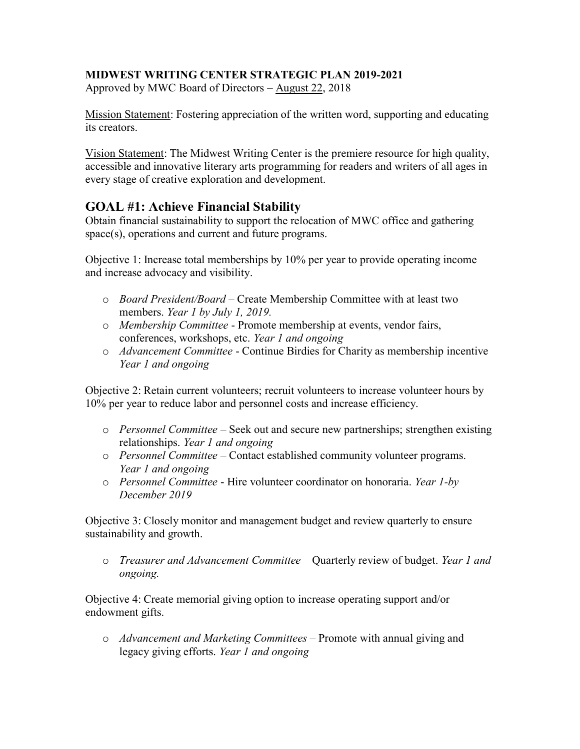## **MIDWEST WRITING CENTER STRATEGIC PLAN 2019-2021**

Approved by MWC Board of Directors – August 22, 2018

Mission Statement: Fostering appreciation of the written word, supporting and educating its creators.

Vision Statement: The Midwest Writing Center is the premiere resource for high quality, accessible and innovative literary arts programming for readers and writers of all ages in every stage of creative exploration and development.

## **GOAL #1: Achieve Financial Stability**

Obtain financial sustainability to support the relocation of MWC office and gathering space(s), operations and current and future programs.

Objective 1: Increase total memberships by 10% per year to provide operating income and increase advocacy and visibility.

- o *Board President/Board –* Create Membership Committee with at least two members. *Year 1 by July 1, 2019.*
- o *Membership Committee* Promote membership at events, vendor fairs, conferences, workshops, etc. *Year 1 and ongoing*
- o *Advancement Committee* Continue Birdies for Charity as membership incentive *Year 1 and ongoing*

Objective 2: Retain current volunteers; recruit volunteers to increase volunteer hours by 10% per year to reduce labor and personnel costs and increase efficiency.

- o *Personnel Committee* Seek out and secure new partnerships; strengthen existing relationships. *Year 1 and ongoing*
- o *Personnel Committee* Contact established community volunteer programs. *Year 1 and ongoing*
- o *Personnel Committee* Hire volunteer coordinator on honoraria. *Year 1-by December 2019*

Objective 3: Closely monitor and management budget and review quarterly to ensure sustainability and growth.

o *Treasurer and Advancement Committee* – Quarterly review of budget. *Year 1 and ongoing.*

Objective 4: Create memorial giving option to increase operating support and/or endowment gifts.

o *Advancement and Marketing Committees –* Promote with annual giving and legacy giving efforts. *Year 1 and ongoing*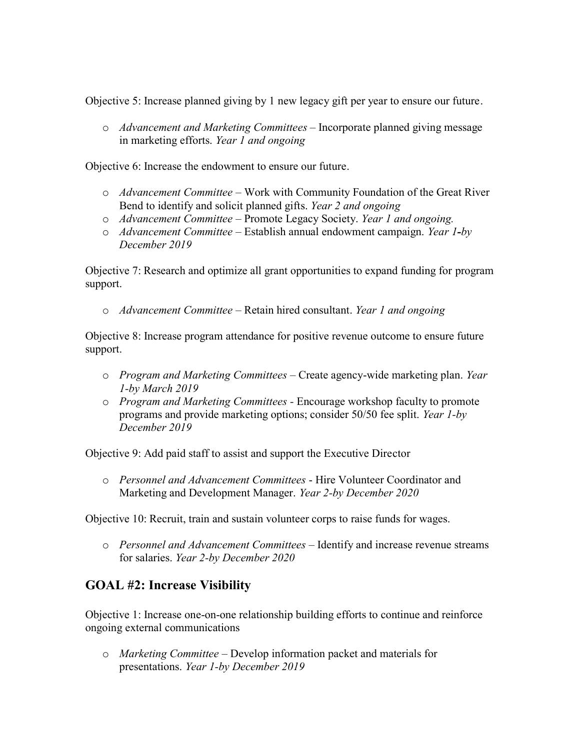Objective 5: Increase planned giving by 1 new legacy gift per year to ensure our future.

o *Advancement and Marketing Committees –* Incorporate planned giving message in marketing efforts. *Year 1 and ongoing*

Objective 6: Increase the endowment to ensure our future.

- o *Advancement Committee* Work with Community Foundation of the Great River Bend to identify and solicit planned gifts. *Year 2 and ongoing*
- o *Advancement Committee* Promote Legacy Society. *Year 1 and ongoing.*
- o *Advancement Committee* Establish annual endowment campaign. *Year 1-by December 2019*

Objective 7: Research and optimize all grant opportunities to expand funding for program support.

o *Advancement Committee –* Retain hired consultant. *Year 1 and ongoing*

Objective 8: Increase program attendance for positive revenue outcome to ensure future support.

- o *Program and Marketing Committees –* Create agency-wide marketing plan. *Year 1-by March 2019*
- o *Program and Marketing Committees -* Encourage workshop faculty to promote programs and provide marketing options; consider 50/50 fee split. *Year 1-by December 2019*

Objective 9: Add paid staff to assist and support the Executive Director

o *Personnel and Advancement Committees* - Hire Volunteer Coordinator and Marketing and Development Manager. *Year 2-by December 2020*

Objective 10: Recruit, train and sustain volunteer corps to raise funds for wages.

o *Personnel and Advancement Committees* – Identify and increase revenue streams for salaries. *Year 2-by December 2020*

## **GOAL #2: Increase Visibility**

Objective 1: Increase one-on-one relationship building efforts to continue and reinforce ongoing external communications

o *Marketing Committee* – Develop information packet and materials for presentations. *Year 1-by December 2019*